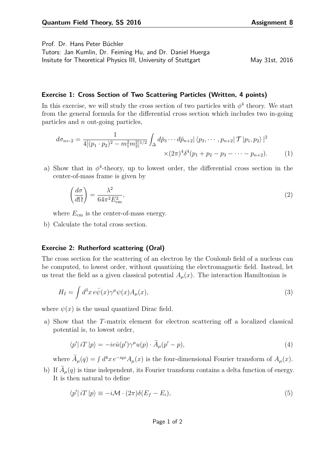Prof. Dr. Hans Peter Büchler

Tutors: Jan Kumlin, Dr. Feiming Hu, and Dr. Daniel Huerga Insitute for Theoretical Physics III, University of Stuttgart May 31st, 2016

## **Exercise 1: Cross Section of Two Scattering Particles (Written, 4 points)**

In this exercise, we will study the cross section of two particles with  $\phi^4$  theory. We start from the general formula for the differential cross section which includes two in-going particles and *n* out-going particles,

$$
d\sigma_{n+2} = \frac{1}{4[(p_1 \cdot p_2)^2 - m_1^2 m_2^2]^{1/2}} \int_{\Delta} d\tilde{p}_3 \cdots d\tilde{p}_{n+2} |\langle p_3, \cdots, p_{n+2} | \mathcal{T} | p_1, p_2 \rangle|^2
$$
  
 
$$
\times (2\pi)^4 \delta^4(p_1 + p_2 - p_3 - \cdots - p_{n+2}). \tag{1}
$$

a) Show that in  $\phi^4$ -theory, up to lowest order, the differential cross section in the center-of-mass frame is given by

$$
\left(\frac{d\sigma}{d\Omega}\right) = \frac{\lambda^2}{64\pi^2 E_{\rm cm}^2},\tag{2}
$$

where  $E_{\rm cm}$  is the center-of-mass energy.

b) Calculate the total cross section.

## **Exercise 2: Rutherford scattering (Oral)**

The cross section for the scattering of an electron by the Coulomb field of a nucleus can be computed, to lowest order, without quantizing the electromagnetic field. Instead, let us treat the field as a given classical potential  $A_\mu(x)$ . The interaction Hamiltonian is

$$
H_I = \int d^3x \, e\bar{\psi}(x)\gamma^\mu\psi(x)A_\mu(x),\tag{3}
$$

where  $\psi(x)$  is the usual quantized Dirac field.

a) Show that the *T*-matrix element for electron scattering off a localized classical potential is, to lowest order,

$$
\langle p' | iT | p \rangle = -ie\bar{u}(p')\gamma^{\mu}u(p) \cdot \tilde{A}_{\mu}(p'-p), \qquad (4)
$$

where  $\tilde{A}_{\mu}(q) = \int d^4x \, e^{-iqx} A_{\mu}(x)$  is the four-dimensional Fourier transform of  $A_{\mu}(x)$ .

b) If  $A_{\mu}(q)$  is time independent, its Fourier transform contains a delta function of energy. It is then natural to define

$$
\langle p' | iT | p \rangle \equiv -i \mathcal{M} \cdot (2\pi) \delta(E_f - E_i), \tag{5}
$$